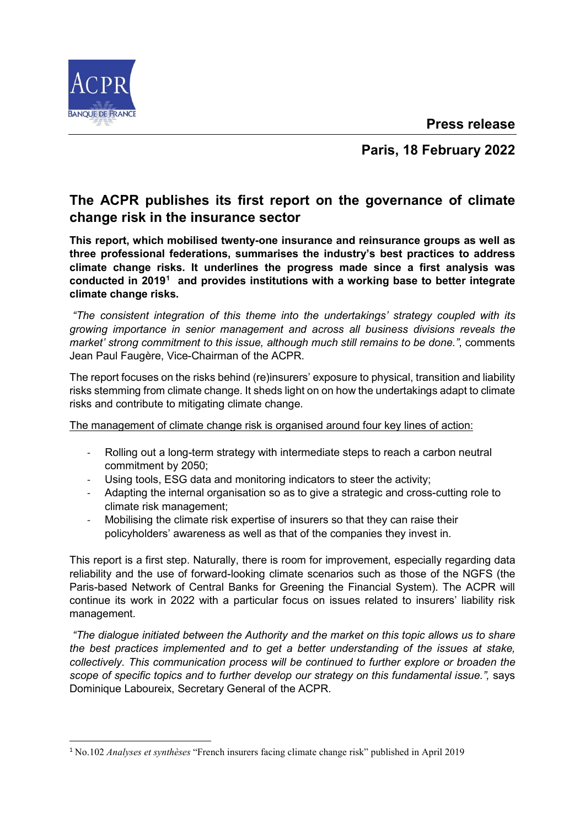**Press release**



**Paris, 18 February 2022**

## **The ACPR publishes its first report on the governance of climate change risk in the insurance sector**

**This report, which mobilised twenty-one insurance and reinsurance groups as well as three professional federations, summarises the industry's best practices to address climate change risks. It underlines the progress made since a first analysis was conducted in 2019[1](#page-0-0) and provides institutions with a working base to better integrate climate change risks.** 

*"The consistent integration of this theme into the undertakings' strategy coupled with its growing importance in senior management and across all business divisions reveals the market' strong commitment to this issue, although much still remains to be done."*, comments Jean Paul Faugère, Vice-Chairman of the ACPR.

The report focuses on the risks behind (re)insurers' exposure to physical, transition and liability risks stemming from climate change. It sheds light on on how the undertakings adapt to climate risks and contribute to mitigating climate change.

The management of climate change risk is organised around four key lines of action:

- Rolling out a long-term strategy with intermediate steps to reach a carbon neutral commitment by 2050;
- Using tools, ESG data and monitoring indicators to steer the activity;
- Adapting the internal organisation so as to give a strategic and cross-cutting role to climate risk management;
- Mobilising the climate risk expertise of insurers so that they can raise their policyholders' awareness as well as that of the companies they invest in.

This report is a first step. Naturally, there is room for improvement, especially regarding data reliability and the use of forward-looking climate scenarios such as those of the NGFS (the Paris-based Network of Central Banks for Greening the Financial System). The ACPR will continue its work in 2022 with a particular focus on issues related to insurers' liability risk management.

*"The dialogue initiated between the Authority and the market on this topic allows us to share the best practices implemented and to get a better understanding of the issues at stake, collectively. This communication process will be continued to further explore or broaden the scope of specific topics and to further develop our strategy on this fundamental issue.",* says Dominique Laboureix, Secretary General of the ACPR.

<span id="page-0-0"></span> <sup>1</sup> No.102 *Analyses et synthèses* "French insurers facing climate change risk" published in April 2019